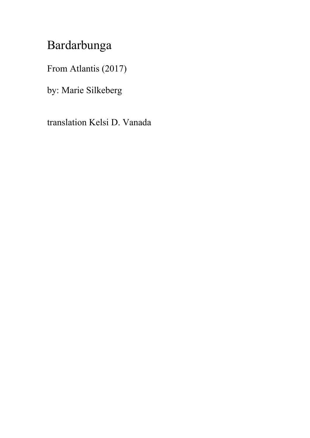## Bardarbunga

From Atlantis (2017)

by: Marie Silkeberg

translation Kelsi D. Vanada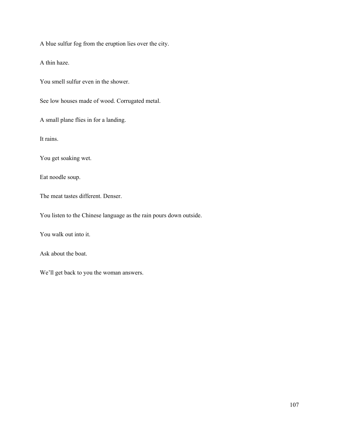A blue sulfur fog from the eruption lies over the city.

A thin haze.

You smell sulfur even in the shower.

See low houses made of wood. Corrugated metal.

A small plane flies in for a landing.

It rains.

You get soaking wet.

Eat noodle soup.

The meat tastes different. Denser.

You listen to the Chinese language as the rain pours down outside.

You walk out into it.

Ask about the boat.

We'll get back to you the woman answers.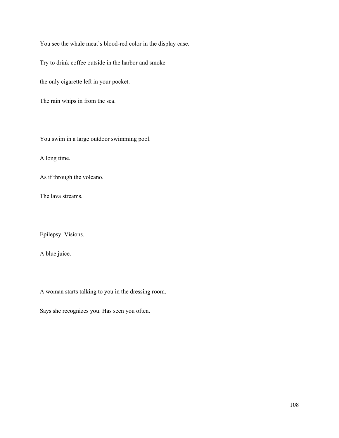You see the whale meat's blood-red color in the display case.

Try to drink coffee outside in the harbor and smoke

the only cigarette left in your pocket.

The rain whips in from the sea.

You swim in a large outdoor swimming pool.

A long time.

As if through the volcano.

The lava streams.

Epilepsy. Visions.

A blue juice.

A woman starts talking to you in the dressing room.

Says she recognizes you. Has seen you often.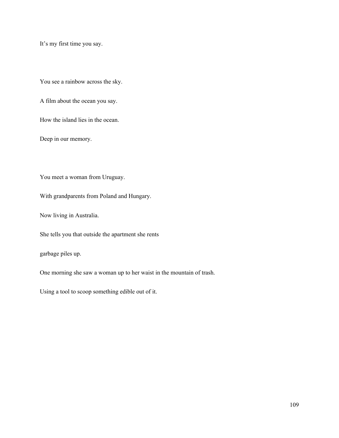It's my first time you say.

You see a rainbow across the sky.

A film about the ocean you say.

How the island lies in the ocean.

Deep in our memory.

You meet a woman from Uruguay.

With grandparents from Poland and Hungary.

Now living in Australia.

She tells you that outside the apartment she rents

garbage piles up.

One morning she saw a woman up to her waist in the mountain of trash.

Using a tool to scoop something edible out of it.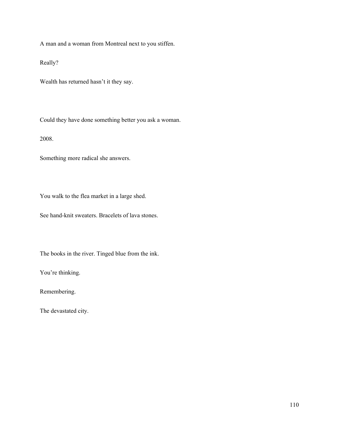A man and a woman from Montreal next to you stiffen.

Really?

Wealth has returned hasn't it they say.

Could they have done something better you ask a woman.

2008.

Something more radical she answers.

You walk to the flea market in a large shed.

See hand-knit sweaters. Bracelets of lava stones.

The books in the river. Tinged blue from the ink.

You're thinking.

Remembering.

The devastated city.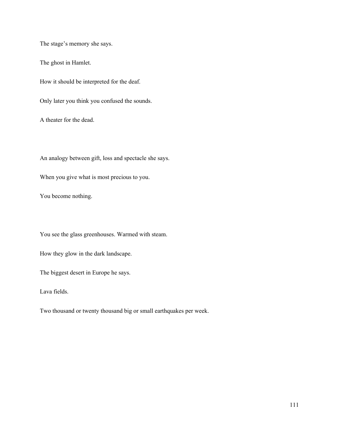The stage's memory she says.

The ghost in Hamlet.

How it should be interpreted for the deaf.

Only later you think you confused the sounds.

A theater for the dead.

An analogy between gift, loss and spectacle she says.

When you give what is most precious to you.

You become nothing.

You see the glass greenhouses. Warmed with steam.

How they glow in the dark landscape.

The biggest desert in Europe he says.

Lava fields.

Two thousand or twenty thousand big or small earthquakes per week.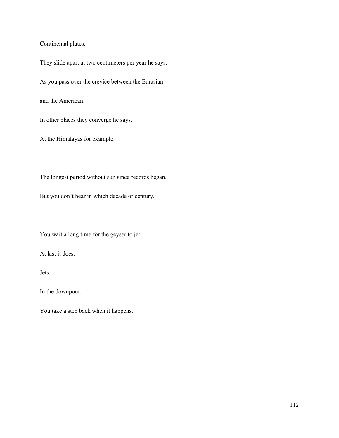## Continental plates.

They slide apart at two centimeters per year he says.

As you pass over the crevice between the Eurasian

and the American.

In other places they converge he says.

At the Himalayas for example.

The longest period without sun since records began.

But you don't hear in which decade or century.

You wait a long time for the geyser to jet.

At last it does.

Jets.

In the downpour.

You take a step back when it happens.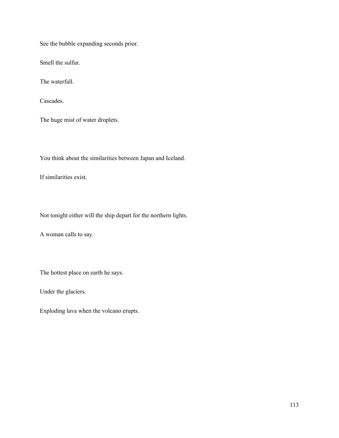See the bubble expanding seconds prior.

Smell the sulfur.

The waterfall.

Cascades.

The huge mist of water droplets.

You think about the similarities between Japan and Iceland.

If similarities exist.

Not tonight either will the ship depart for the northern lights.

A woman calls to say.

The hottest place on earth he says.

Under the glaciers.

Exploding lava when the volcano erupts.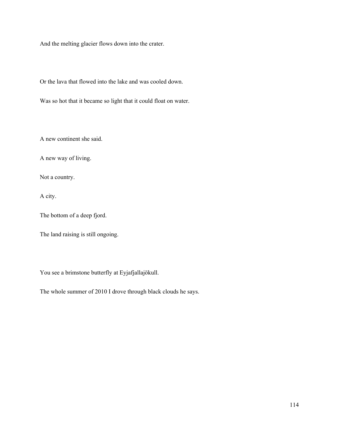And the melting glacier flows down into the crater.

Or the lava that flowed into the lake and was cooled down.

Was so hot that it became so light that it could float on water.

A new continent she said.

A new way of living.

Not a country.

A city.

The bottom of a deep fjord.

The land raising is still ongoing.

You see a brimstone butterfly at Eyjafjallajökull.

The whole summer of 2010 I drove through black clouds he says.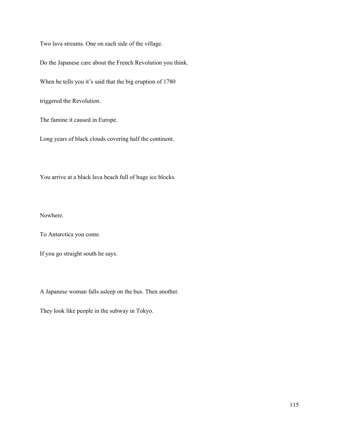Two lava streams. One on each side of the village.

Do the Japanese care about the French Revolution you think.

When he tells you it's said that the big eruption of 1780

triggered the Revolution.

The famine it caused in Europe.

Long years of black clouds covering half the continent.

You arrive at a black lava beach full of huge ice blocks.

Nowhere.

To Antarctica you come.

If you go straight south he says.

A Japanese woman falls asleep on the bus. Then another.

They look like people in the subway in Tokyo.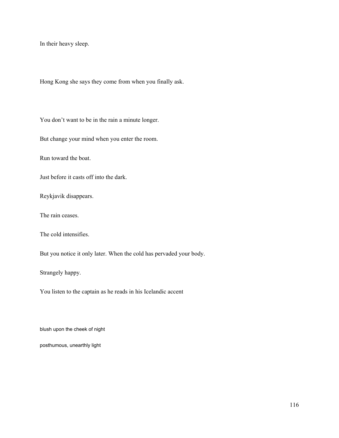In their heavy sleep.

Hong Kong she says they come from when you finally ask.

You don't want to be in the rain a minute longer.

But change your mind when you enter the room.

Run toward the boat.

Just before it casts off into the dark.

Reykjavik disappears.

The rain ceases.

The cold intensifies.

But you notice it only later. When the cold has pervaded your body.

Strangely happy.

You listen to the captain as he reads in his Icelandic accent

blush upon the cheek of night

posthumous, unearthly light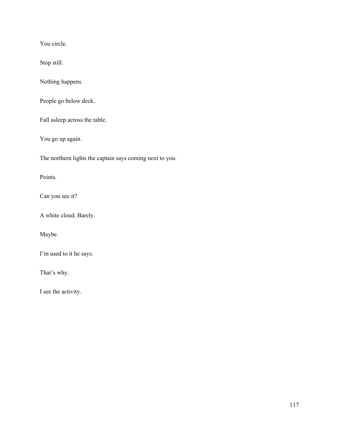You circle.

Stop still.

Nothing happens.

People go below deck.

Fall asleep across the table.

You go up again.

The northern lights the captain says coming next to you.

Points.

Can you see it?

A white cloud. Barely.

Maybe.

I'm used to it he says.

That's why.

I see the activity.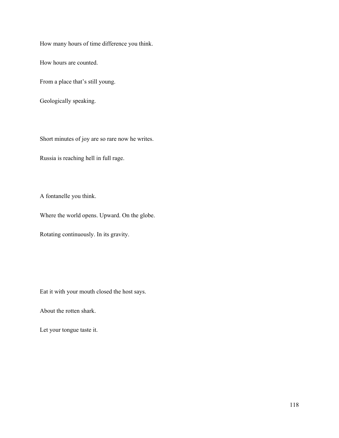How many hours of time difference you think.

How hours are counted.

From a place that's still young.

Geologically speaking.

Short minutes of joy are so rare now he writes.

Russia is reaching hell in full rage.

A fontanelle you think.

Where the world opens. Upward. On the globe.

Rotating continuously. In its gravity.

Eat it with your mouth closed the host says.

About the rotten shark.

Let your tongue taste it.